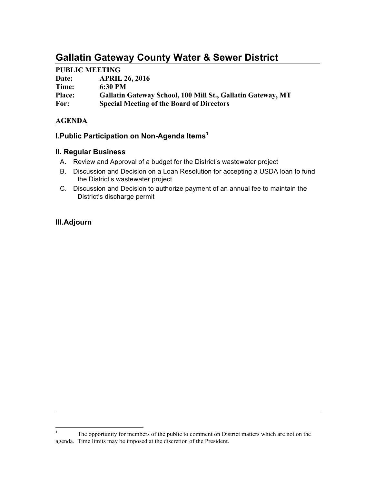# **Gallatin Gateway County Water & Sewer District**

# **PUBLIC MEETING**

| Date:         | <b>APRIL 26, 2016</b>                                       |
|---------------|-------------------------------------------------------------|
| Time:         | $6:30$ PM                                                   |
| <b>Place:</b> | Gallatin Gateway School, 100 Mill St., Gallatin Gateway, MT |
| For:          | <b>Special Meeting of the Board of Directors</b>            |

# **AGENDA**

# **I.Public Participation on Non-Agenda Items1**

### **II. Regular Business**

- A. Review and Approval of a budget for the District's wastewater project
- B. Discussion and Decision on a Loan Resolution for accepting a USDA loan to fund the District's wastewater project
- C. Discussion and Decision to authorize payment of an annual fee to maintain the District's discharge permit

# **III.Adjourn**

<sup>&</sup>lt;sup>1</sup> The opportunity for members of the public to comment on District matters which are not on the agenda. Time limits may be imposed at the discretion of the President.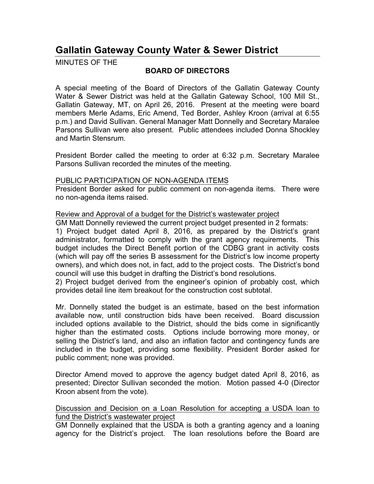# **Gallatin Gateway County Water & Sewer District**

MINUTES OF THE

# **BOARD OF DIRECTORS**

A special meeting of the Board of Directors of the Gallatin Gateway County Water & Sewer District was held at the Gallatin Gateway School, 100 Mill St., Gallatin Gateway, MT, on April 26, 2016. Present at the meeting were board members Merle Adams, Eric Amend, Ted Border, Ashley Kroon (arrival at 6:55 p.m.) and David Sullivan. General Manager Matt Donnelly and Secretary Maralee Parsons Sullivan were also present. Public attendees included Donna Shockley and Martin Stensrum.

President Border called the meeting to order at 6:32 p.m. Secretary Maralee Parsons Sullivan recorded the minutes of the meeting.

#### PUBLIC PARTICIPATION OF NON-AGENDA ITEMS

President Border asked for public comment on non-agenda items. There were no non-agenda items raised.

### Review and Approval of a budget for the District's wastewater project

GM Matt Donnelly reviewed the current project budget presented in 2 formats:

1) Project budget dated April 8, 2016, as prepared by the District's grant administrator, formatted to comply with the grant agency requirements. This budget includes the Direct Benefit portion of the CDBG grant in activity costs (which will pay off the series B assessment for the District's low income property owners), and which does not, in fact, add to the project costs. The District's bond council will use this budget in drafting the District's bond resolutions.

2) Project budget derived from the engineer's opinion of probably cost, which provides detail line item breakout for the construction cost subtotal.

Mr. Donnelly stated the budget is an estimate, based on the best information available now, until construction bids have been received. Board discussion included options available to the District, should the bids come in significantly higher than the estimated costs. Options include borrowing more money, or selling the District's land, and also an inflation factor and contingency funds are included in the budget, providing some flexibility. President Border asked for public comment; none was provided.

Director Amend moved to approve the agency budget dated April 8, 2016, as presented; Director Sullivan seconded the motion. Motion passed 4-0 (Director Kroon absent from the vote).

### Discussion and Decision on a Loan Resolution for accepting a USDA loan to fund the District's wastewater project

GM Donnelly explained that the USDA is both a granting agency and a loaning agency for the District's project. The loan resolutions before the Board are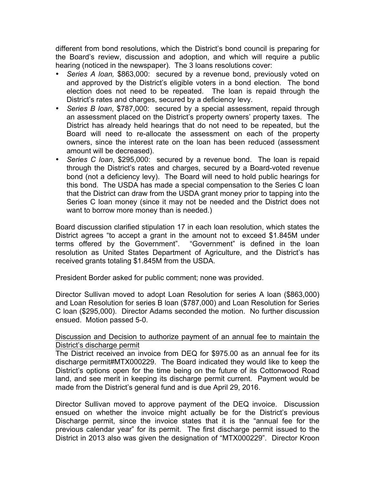different from bond resolutions, which the District's bond council is preparing for the Board's review, discussion and adoption, and which will require a public hearing (noticed in the newspaper). The 3 loans resolutions cover:

- *Series A loan,* \$863,000: secured by a revenue bond, previously voted on and approved by the District's eligible voters in a bond election. The bond election does not need to be repeated. The loan is repaid through the District's rates and charges, secured by a deficiency levy.
- *Series B loan*, \$787,000: secured by a special assessment, repaid through an assessment placed on the District's property owners' property taxes. The District has already held hearings that do not need to be repeated, but the Board will need to re-allocate the assessment on each of the property owners, since the interest rate on the loan has been reduced (assessment amount will be decreased).
- *Series C loan*, \$295,000: secured by a revenue bond. The loan is repaid through the District's rates and charges, secured by a Board-voted revenue bond (not a deficiency levy). The Board will need to hold public hearings for this bond. The USDA has made a special compensation to the Series C loan that the District can draw from the USDA grant money prior to tapping into the Series C loan money (since it may not be needed and the District does not want to borrow more money than is needed.)

Board discussion clarified stipulation 17 in each loan resolution, which states the District agrees "to accept a grant in the amount not to exceed \$1.845M under terms offered by the Government". "Government" is defined in the loan resolution as United States Department of Agriculture, and the District's has received grants totaling \$1.845M from the USDA.

President Border asked for public comment; none was provided.

Director Sullivan moved to adopt Loan Resolution for series A loan (\$863,000) and Loan Resolution for series B loan (\$787,000) and Loan Resolution for Series C loan (\$295,000). Director Adams seconded the motion. No further discussion ensued. Motion passed 5-0.

### Discussion and Decision to authorize payment of an annual fee to maintain the District's discharge permit

The District received an invoice from DEQ for \$975.00 as an annual fee for its discharge permit#MTX000229. The Board indicated they would like to keep the District's options open for the time being on the future of its Cottonwood Road land, and see merit in keeping its discharge permit current. Payment would be made from the District's general fund and is due April 29, 2016.

Director Sullivan moved to approve payment of the DEQ invoice. Discussion ensued on whether the invoice might actually be for the District's previous Discharge permit, since the invoice states that it is the "annual fee for the previous calendar year" for its permit. The first discharge permit issued to the District in 2013 also was given the designation of "MTX000229". Director Kroon